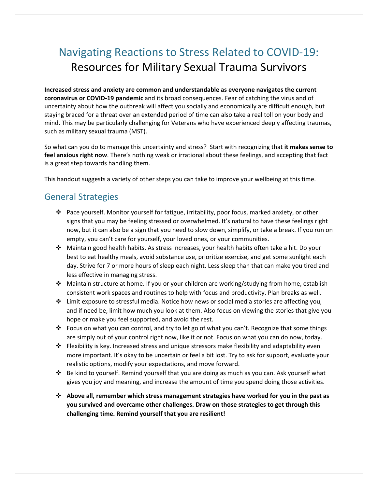# Navigating Reactions to Stress Related to COVID-19: Resources for Military Sexual Trauma Survivors

**Increased stress and anxiety are common and understandable as everyone navigates the current coronavirus or COVID-19 pandemic** and its broad consequences. Fear of catching the virus and of uncertainty about how the outbreak will affect you socially and economically are difficult enough, but staying braced for a threat over an extended period of time can also take a real toll on your body and mind. This may be particularly challenging for Veterans who have experienced deeply affecting traumas, such as military sexual trauma (MST).

So what can you do to manage this uncertainty and stress? Start with recognizing that **it makes sense to feel anxious right now**. There's nothing weak or irrational about these feelings, and accepting that fact is a great step towards handling them.

This handout suggests a variety of other steps you can take to improve your wellbeing at this time.

#### General Strategies

- v Pace yourself. Monitor yourself for fatigue, irritability, poor focus, marked anxiety, or other signs that you may be feeling stressed or overwhelmed. It's natural to have these feelings right now, but it can also be a sign that you need to slow down, simplify, or take a break. If you run on empty, you can't care for yourself, your loved ones, or your communities.
- v Maintain good health habits. As stress increases, your health habits often take a hit. Do your best to eat healthy meals, avoid substance use, prioritize exercise, and get some sunlight each day. Strive for 7 or more hours of sleep each night. Less sleep than that can make you tired and less effective in managing stress.
- v Maintain structure at home. If you or your children are working/studying from home, establish consistent work spaces and routines to help with focus and productivity. Plan breaks as well.
- $\div$  Limit exposure to stressful media. Notice how news or social media stories are affecting you, and if need be, limit how much you look at them. Also focus on viewing the stories that give you hope or make you feel supported, and avoid the rest.
- Focus on what you can control, and try to let go of what you can't. Recognize that some things are simply out of your control right now, like it or not. Focus on what you can do now, today.
- $\cdot \cdot$  Flexibility is key. Increased stress and unique stressors make flexibility and adaptability even more important. It's okay to be uncertain or feel a bit lost. Try to ask for support, evaluate your realistic options, modify your expectations, and move forward.
- v Be kind to yourself. Remind yourself that you are doing as much as you can. Ask yourself what gives you joy and meaning, and increase the amount of time you spend doing those activities.
- v **Above all, remember which stress management strategies have worked for you in the past as you survived and overcame other challenges. Draw on those strategies to get through this challenging time. Remind yourself that you are resilient!**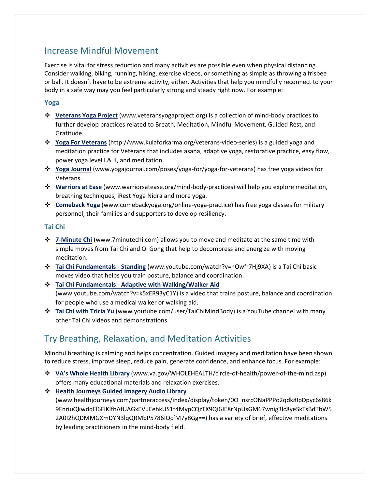### Increase Mindful Movement

Exercise is vital for stress reduction and many activities are possible even when physical distancing. Consider walking, biking, running, hiking, exercise videos, or something as simple as throwing a frisbee or ball. It doesn't have to be extreme activity, either. Activities that help you mindfully reconnect to your body in a safe way may you feel particularly strong and steady right now. For example:

#### **Yoga**

- v **[Veterans Yoga Project](http://www.veteransyogaproject.org/)** (www.veteransyogaproject.org) is a collection of mind-body practices to further develop practices related to Breath, Meditation, Mindful Movement, Guided Rest, and Gratitude.
- v **[Yoga For Veterans](http://www.kulaforkarma.org/veterans-video-series)** (http://www.kulaforkarma.org/veterans-video-series) is a guided yoga and meditation practice for Veterans that includes asana, adaptive yoga, restorative practice, easy flow, power yoga level I & II, and meditation.
- v **[Yoga Journal](http://www.yogajournal.com/poses/yoga-for/yoga-for-veterans)** (www.yogajournal.com/poses/yoga-for/yoga-for-veterans) has free yoga videos for Veterans.
- v **[Warriors at Ease](http://www.warriorsatease.org/mind-body-practices)** (www.warriorsatease.org/mind-body-practices) will help you explore meditation, breathing techniques, iRest Yoga Nidra and more yoga.
- v **[Comeback Yoga](http://www.warriorsatease.org/mind-body-practices)** (www.comebackyoga.org/online-yoga-practice) has free yoga classes for military personnel, their families and supporters to develop resiliency.

#### **Tai Chi**

- v **[7-Minute Chi](http://www.7minutechi.com/)** (www.7minutechi.com) allows you to move and meditate at the same time with simple moves from Tai Chi and Qi Gong that help to decompress and energize with moving meditation.
- v **[Tai Chi Fundamentals Standing](http://www.youtube.com/watch?v=hOwfr7Hj9XA)** (www.youtube.com/watch?v=hOwfr7Hj9XA) is a Tai Chi basic moves video that helps you train posture, balance and coordination.
- v **[Tai Chi Fundamentals Adaptive with Walking/Walker Aid](http://www.youtube.com/watch?v=k5xER93yC1Y)** (www.youtube.com/watch?v=k5xER93yC1Y) is a video that trains posture, balance and coordination for people who use a medical walker or walking aid.
- v **[Tai Chi with Tricia Yu](http://www.youtube.com/user/TaiChiMindBody)** (www.youtube.com/user/TaiChiMindBody) is a YouTube channel with many other Tai Chi videos and demonstrations.

## Try Breathing, Relaxation, and Meditation Activities

Mindful breathing is calming and helps concentration. Guided imagery and meditation have been shown to reduce stress, improve sleep, reduce pain, generate confidence, and enhance focus. For example:

- v **VA's Whole Health [Library](http://www.va.gov/WHOLEHEALTH/circle-of-health/power-of-the-mind.asp)** (www.va.gov/WHOLEHEALTH/circle-of-health/power-of-the-mind.asp) offers many educational materials and relaxation exercises.
- v **[Health Journeys Guided Imagery](www.healthjourneys.com/partneraccess/index/display/token/0O_nsrcONaPPPo2qdk8IpDpyc6s86k9FnriuQkwdqFl6FIKIfhAfUAGxEVuEehkUS1t4MypCQzTX9Qi6JE8rNpUsGM67wnig3lc8yeSkTsBdTbW52A0I2hQDMMGXmDYN3lqQRMbP5786IQcfM7y8Gg==) Audio Library** (www.healthjourneys.com/partneraccess/index/display/token/0O\_nsrcONaPPPo2qdk8IpDpyc6s86k 9FnriuQkwdqFl6FIKIfhAfUAGxEVuEehkUS1t4MypCQzTX9Qi6JE8rNpUsGM67wnig3lc8yeSkTsBdTbW5 2A0I2hQDMMGXmDYN3lqQRMbP5786IQcfM7y8Gg==) has a variety of brief, effective meditations by leading practitioners in the mind-body field.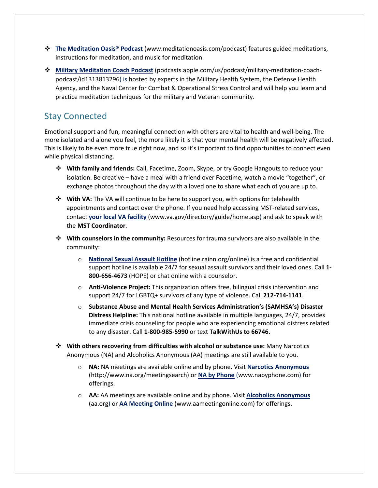- v **[The Meditation Oasis®](http://www.meditationoasis.com/podcast) Podcast** (www.meditationoasis.com/podcast) features guided meditations, instructions for meditation, and music for meditation.
- v **[Military Meditation Coach Podcast](https://podcasts.apple.com/us/podcast/military-meditation-coach-podcast/id1313813296)** (podcasts.apple.com/us/podcast/military-meditation-coachpodcast/id1313813296) is hosted by experts in the Military Health System, the Defense Health Agency, and the Naval Center for Combat & Operational Stress Control and will help you learn and practice meditation techniques for the military and Veteran community.

### Stay Connected

Emotional support and fun, meaningful connection with others are vital to health and well-being. The more isolated and alone you feel, the more likely it is that your mental health will be negatively affected. This is likely to be even more true right now, and so it's important to find opportunities to connect even while physical distancing.

- v **With family and friends:** Call, Facetime, Zoom, Skype, or try Google Hangouts to reduce your isolation. Be creative – have a meal with a friend over Facetime, watch a movie "together", or exchange photos throughout the day with a loved one to share what each of you are up to.
- $\dots$  **With VA:** The VA will continue to be here to support you, with options for telehealth appointments and contact over the phone. If you need help accessing MST-related services, contact **[your local VA facility](http://www.va.gov/directory/guide/home.asp)** (www.va.gov/directory/guide/home.asp) and ask to speak with the **MST Coordinator**.
- v **With counselors in the community:** Resources for trauma survivors are also available in the community:
	- o **[National Sexual Assault Hotline](https://hotline.rainn.org/)** (hotline.rainn.org/online) is a free and confidential support hotline is available 24/7 for sexual assault survivors and their loved ones. Call **1- 800-656-4673** (HOPE) or chat online with a counselor.
	- o **Anti-Violence Project:** This organization offers free, bilingual crisis intervention and support 24/7 for LGBTQ+ survivors of any type of violence. Call **212-714-1141**.
	- o **Substance Abuse and Mental Health Services Administration's (SAMHSA's) Disaster Distress Helpline:** This national hotline available in multiple languages, 24/7, provides immediate crisis counseling for people who are experiencing emotional distress related to any disaster. Call **[1-800-985-5990](about:blank)** or text **TalkWithUs to 66746.**
- v **With others recovering from difficulties with alcohol or substance use:** Many Narcotics Anonymous (NA) and Alcoholics Anonymous (AA) meetings are still available to you.
	- o **NA:** NA meetings are available online and by phone. Visit **[Narcotics Anonymous](http://www.na.org/meetingsearch)** (http://www.na.org/meetingsearch) or **[NA by Phone](http://www.nabyphone.com/)** (www.nabyphone.com) for offerings.
	- o **AA:** AA meetings are available online and by phone. Visit **[Alcoholics Anonymous](https://aa.org/)** (aa.org) or **[AA Meeting Online](http://www.aameetingonline.com/)** (www.aameetingonline.com) for offerings.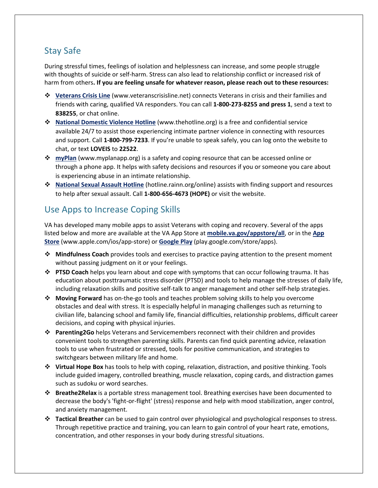## Stay Safe

During stressful times, feelings of isolation and helplessness can increase, and some people struggle with thoughts of suicide or self-harm. Stress can also lead to relationship conflict or increased risk of harm from others**. If you are feeling unsafe for whatever reason, please reach out to these resources:**

- v **[Veterans Crisis Line](http://www.veteranscrisisline.net/)** (www.veteranscrisisline.net) connects Veterans in crisis and their families and friends with caring, qualified VA responders. You can call **1-800-273-8255 and press 1**, send a text to **838255**, or chat online.
- v **[National Domestic Violence Hotline](http://www.thehotline.org/)** (www.thehotline.org) is a free and confidential service available 24/7 to assist those experiencing intimate partner violence in connecting with resources and support. Call **1-800-799-7233**. If you're unable to speak safely, you can log onto the website to chat, or text **LOVEIS** to **22522**.
- **❖ [myPlan](http://www.myplanapp.org/)** (www.myplanapp.org) is a safety and coping resource that can be accessed online or through a phone app. It helps with safety decisions and resources if you or someone you care about is experiencing abuse in an intimate relationship.
- v **[National Sexual Assault Hotline](https://hotline.rainn.org/)** (hotline.rainn.org/online) assists with finding support and resources to help after sexual assault. Call **1-800-656-4673 (HOPE)** or visit the website.

## Use Apps to Increase Coping Skills

VA has developed many mobile apps to assist Veterans with coping and recovery. Several of the apps listed below and more are available at the VA App Store at **[mobile.va.gov/appstore/all](https://mobile.va.gov/appstore)**, or in the **[App](https://www.apple.com/ios/app-store/)  [Store](https://www.apple.com/ios/app-store/)** (www.apple.com/ios/app-store) or **[Google Play](https://play.google.com/store/apps)** (play.google.com/store/apps).

- v **Mindfulness Coach** provides tools and exercises to practice paying attention to the present moment without passing judgment on it or your feelings.
- v **PTSD Coach** helps you learn about and cope with symptoms that can occur following trauma. It has education about posttraumatic stress disorder (PTSD) and tools to help manage the stresses of daily life, including relaxation skills and positive self-talk to anger management and other self-help strategies.
- **Moving Forward** has on-the-go tools and teaches problem solving skills to help you overcome obstacles and deal with stress. It is especially helpful in managing challenges such as returning to civilian life, balancing school and family life, financial difficulties, relationship problems, difficult career decisions, and coping with physical injuries.
- v **Parenting2Go** helps Veterans and Servicemembers reconnect with their children and provides convenient tools to strengthen parenting skills. Parents can find quick parenting advice, relaxation tools to use when frustrated or stressed, tools for positive communication, and strategies to switchgears between military life and home.
- $\dots$  **Virtual Hope Box** has tools to help with coping, relaxation, distraction, and positive thinking. Tools include guided imagery, controlled breathing, muscle relaxation, coping cards, and distraction games such as sudoku or word searches.
- v **Breathe2Relax** is a portable stress management tool. Breathing exercises have been documented to decrease the body's 'fight-or-flight' (stress) response and help with mood stabilization, anger control, and anxiety management.
- v **Tactical Breather** can be used to gain control over physiological and psychological responses to stress. Through repetitive practice and training, you can learn to gain control of your heart rate, emotions, concentration, and other responses in your body during stressful situations.